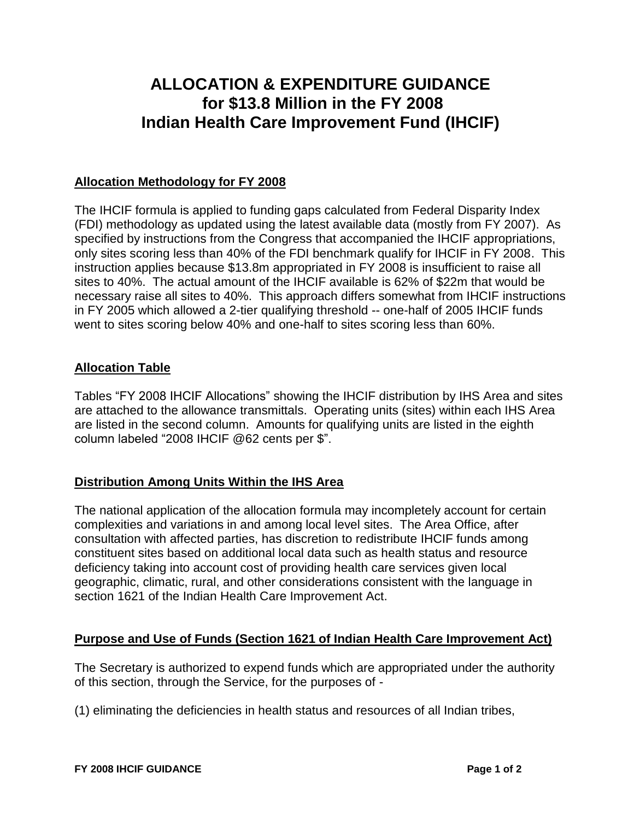# **ALLOCATION & EXPENDITURE GUIDANCE for \$13.8 Million in the FY 2008 Indian Health Care Improvement Fund (IHCIF)**

### **Allocation Methodology for FY 2008**

The IHCIF formula is applied to funding gaps calculated from Federal Disparity Index (FDI) methodology as updated using the latest available data (mostly from FY 2007). As specified by instructions from the Congress that accompanied the IHCIF appropriations, only sites scoring less than 40% of the FDI benchmark qualify for IHCIF in FY 2008. This instruction applies because \$13.8m appropriated in FY 2008 is insufficient to raise all sites to 40%. The actual amount of the IHCIF available is 62% of \$22m that would be necessary raise all sites to 40%. This approach differs somewhat from IHCIF instructions in FY 2005 which allowed a 2-tier qualifying threshold -- one-half of 2005 IHCIF funds went to sites scoring below 40% and one-half to sites scoring less than 60%.

#### **Allocation Table**

Tables "FY 2008 IHCIF Allocations" showing the IHCIF distribution by IHS Area and sites are attached to the allowance transmittals. Operating units (sites) within each IHS Area are listed in the second column. Amounts for qualifying units are listed in the eighth column labeled "2008 IHCIF @62 cents per \$".

## **Distribution Among Units Within the IHS Area**

The national application of the allocation formula may incompletely account for certain complexities and variations in and among local level sites. The Area Office, after consultation with affected parties, has discretion to redistribute IHCIF funds among constituent sites based on additional local data such as health status and resource deficiency taking into account cost of providing health care services given local geographic, climatic, rural, and other considerations consistent with the language in section 1621 of the Indian Health Care Improvement Act.

#### **Purpose and Use of Funds (Section 1621 of Indian Health Care Improvement Act)**

The Secretary is authorized to expend funds which are appropriated under the authority of this section, through the Service, for the purposes of -

(1) eliminating the deficiencies in health status and resources of all Indian tribes,